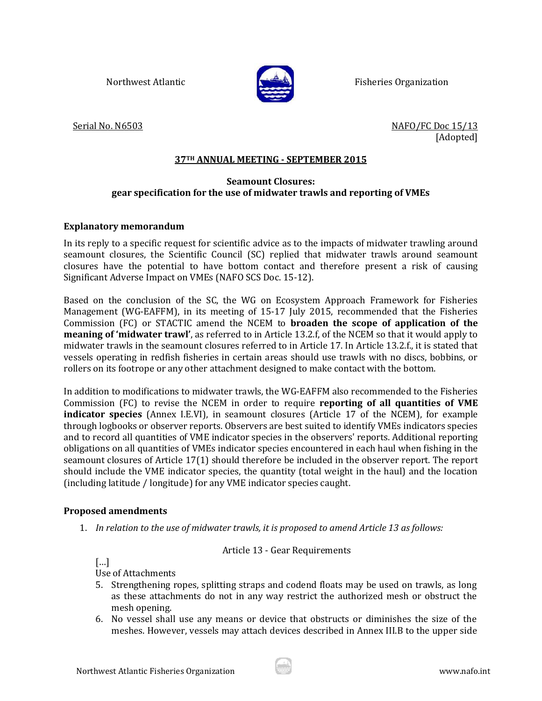

Northwest Atlantic **Fisheries Organization** 

Serial No. N6503 NAFO/FC Doc 15/13 [Adopted]

### **37TH ANNUAL MEETING - SEPTEMBER 2015**

### **Seamount Closures: gear specification for the use of midwater trawls and reporting of VMEs**

### **Explanatory memorandum**

In its reply to a specific request for scientific advice as to the impacts of midwater trawling around seamount closures, the Scientific Council (SC) replied that midwater trawls around seamount closures have the potential to have bottom contact and therefore present a risk of causing Significant Adverse Impact on VMEs (NAFO SCS Doc. 15-12).

Based on the conclusion of the SC, the WG on Ecosystem Approach Framework for Fisheries Management (WG-EAFFM), in its meeting of 15-17 July 2015, recommended that the Fisheries Commission (FC) or STACTIC amend the NCEM to **broaden the scope of application of the meaning of 'midwater trawl'**, as referred to in Article 13.2.f, of the NCEM so that it would apply to midwater trawls in the seamount closures referred to in Article 17. In Article 13.2.f., it is stated that vessels operating in redfish fisheries in certain areas should use trawls with no discs, bobbins, or rollers on its footrope or any other attachment designed to make contact with the bottom.

In addition to modifications to midwater trawls, the WG-EAFFM also recommended to the Fisheries Commission (FC) to revise the NCEM in order to require **reporting of all quantities of VME indicator species** (Annex I.E.VI), in seamount closures (Article 17 of the NCEM), for example through logbooks or observer reports. Observers are best suited to identify VMEs indicators species and to record all quantities of VME indicator species in the observers' reports. Additional reporting obligations on all quantities of VMEs indicator species encountered in each haul when fishing in the seamount closures of Article 17(1) should therefore be included in the observer report. The report should include the VME indicator species, the quantity (total weight in the haul) and the location (including latitude / longitude) for any VME indicator species caught.

# **Proposed amendments**

1. *In relation to the use of midwater trawls, it is proposed to amend Article 13 as follows:*

# Article 13 - Gear Requirements

[…]

Use of Attachments

- 5. Strengthening ropes, splitting straps and codend floats may be used on trawls, as long as these attachments do not in any way restrict the authorized mesh or obstruct the mesh opening.
- 6. No vessel shall use any means or device that obstructs or diminishes the size of the meshes. However, vessels may attach devices described in Annex III.B to the upper side

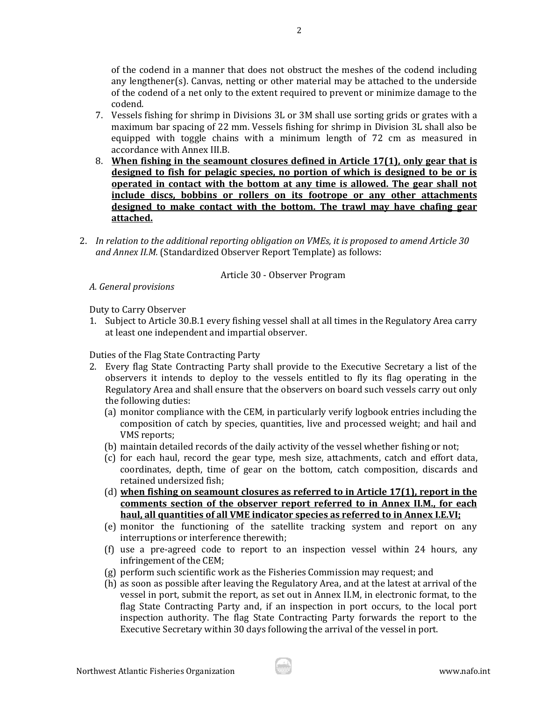of the codend in a manner that does not obstruct the meshes of the codend including any lengthener(s). Canvas, netting or other material may be attached to the underside of the codend of a net only to the extent required to prevent or minimize damage to the codend.

- 7. Vessels fishing for shrimp in Divisions 3L or 3M shall use sorting grids or grates with a maximum bar spacing of 22 mm. Vessels fishing for shrimp in Division 3L shall also be equipped with toggle chains with a minimum length of 72 cm as measured in accordance with Annex III.B.
- 8. **When fishing in the seamount closures defined in Article 17(1), only gear that is designed to fish for pelagic species, no portion of which is designed to be or is operated in contact with the bottom at any time is allowed. The gear shall not include discs, bobbins or rollers on its footrope or any other attachments designed to make contact with the bottom. The trawl may have chafing gear attached.**
- 2. *In relation to the additional reporting obligation on VMEs, it is proposed to amend Article 30 and Annex II.M.* (Standardized Observer Report Template) as follows:

# Article 30 - Observer Program

*A. General provisions* 

Duty to Carry Observer

1. Subject to Article 30.B.1 every fishing vessel shall at all times in the Regulatory Area carry at least one independent and impartial observer.

Duties of the Flag State Contracting Party

- 2. Every flag State Contracting Party shall provide to the Executive Secretary a list of the observers it intends to deploy to the vessels entitled to fly its flag operating in the Regulatory Area and shall ensure that the observers on board such vessels carry out only the following duties:
	- (a) monitor compliance with the CEM, in particularly verify logbook entries including the composition of catch by species, quantities, live and processed weight; and hail and VMS reports;
	- (b) maintain detailed records of the daily activity of the vessel whether fishing or not;
	- (c) for each haul, record the gear type, mesh size, attachments, catch and effort data, coordinates, depth, time of gear on the bottom, catch composition, discards and retained undersized fish;
	- (d) **when fishing on seamount closures as referred to in Article 17(1), report in the comments section of the observer report referred to in Annex II.M., for each haul, all quantities of all VME indicator species as referred to in Annex I.E.VI;**
	- (e) monitor the functioning of the satellite tracking system and report on any interruptions or interference therewith;
	- (f) use a pre-agreed code to report to an inspection vessel within 24 hours, any infringement of the CEM;
	- (g) perform such scientific work as the Fisheries Commission may request; and
	- (h) as soon as possible after leaving the Regulatory Area, and at the latest at arrival of the vessel in port, submit the report, as set out in Annex II.M, in electronic format, to the flag State Contracting Party and, if an inspection in port occurs, to the local port inspection authority. The flag State Contracting Party forwards the report to the Executive Secretary within 30 days following the arrival of the vessel in port.